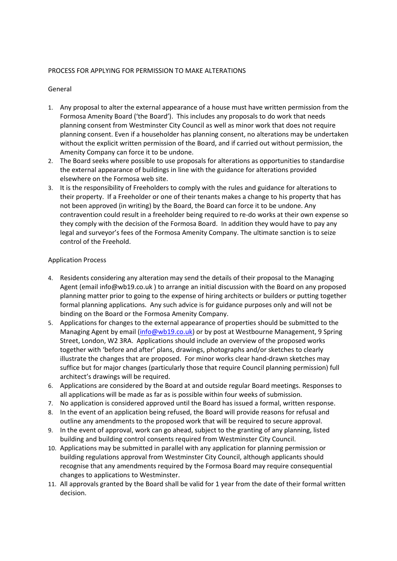## PROCESS FOR APPLYING FOR PERMISSION TO MAKE ALTERATIONS

## General

- 1. Any proposal to alter the external appearance of a house must have written permission from the Formosa Amenity Board ('the Board'). This includes any proposals to do work that needs planning consent from Westminster City Council as well as minor work that does not require planning consent. Even if a householder has planning consent, no alterations may be undertaken without the explicit written permission of the Board, and if carried out without permission, the Amenity Company can force it to be undone.
- 2. The Board seeks where possible to use proposals for alterations as opportunities to standardise the external appearance of buildings in line with the guidance for alterations provided elsewhere on the Formosa web site.
- 3. It is the responsibility of Freeholders to comply with the rules and guidance for alterations to their property. If a Freeholder or one of their tenants makes a change to his property that has not been approved (in writing) by the Board, the Board can force it to be undone. Any contravention could result in a freeholder being required to re-do works at their own expense so they comply with the decision of the Formosa Board. In addition they would have to pay any legal and surveyor's fees of the Formosa Amenity Company. The ultimate sanction is to seize control of the Freehold.

## Application Process

- 4. Residents considering any alteration may send the details of their proposal to the Managing Agent (email info@wb19.co.uk ) to arrange an initial discussion with the Board on any proposed planning matter prior to going to the expense of hiring architects or builders or putting together formal planning applications. Any such advice is for guidance purposes only and will not be binding on the Board or the Formosa Amenity Company.
- 5. Applications for changes to the external appearance of properties should be submitted to the Managing Agent by email [\(info@wb19.co.uk\)](mailto:info@wb19.co.uk) or by post at Westbourne Management, 9 Spring Street, London, W2 3RA. Applications should include an overview of the proposed works together with 'before and after' plans, drawings, photographs and/or sketches to clearly illustrate the changes that are proposed. For minor works clear hand-drawn sketches may suffice but for major changes (particularly those that require Council planning permission) full architect's drawings will be required.
- 6. Applications are considered by the Board at and outside regular Board meetings. Responses to all applications will be made as far as is possible within four weeks of submission.
- 7. No application is considered approved until the Board has issued a formal, written response.
- 8. In the event of an application being refused, the Board will provide reasons for refusal and outline any amendments to the proposed work that will be required to secure approval.
- 9. In the event of approval, work can go ahead, subject to the granting of any planning, listed building and building control consents required from Westminster City Council.
- 10. Applications may be submitted in parallel with any application for planning permission or building regulations approval from Westminster City Council, although applicants should recognise that any amendments required by the Formosa Board may require consequential changes to applications to Westminster.
- 11. All approvals granted by the Board shall be valid for 1 year from the date of their formal written decision.